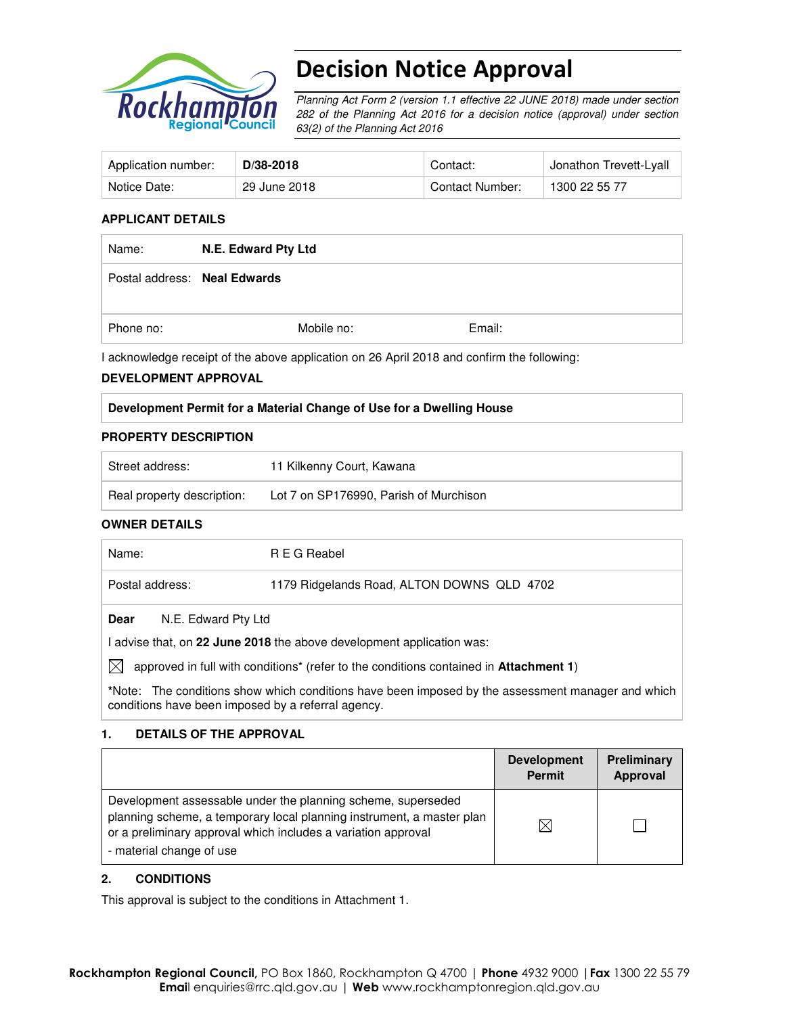

# Decision Notice Approval

Planning Act Form 2 (version 1.1 effective 22 JUNE 2018) made under section 282 of the Planning Act 2016 for a decision notice (approval) under section 63(2) of the Planning Act 2016

| Application number: | D/38-2018    | Contact:        | Jonathon Trevett-Lyall |
|---------------------|--------------|-----------------|------------------------|
| Notice Date:        | 29 June 2018 | Contact Number: | 1300 22 55 77          |

#### **APPLICANT DETAILS**

| Name:                        | N.E. Edward Pty Ltd |            |        |
|------------------------------|---------------------|------------|--------|
| Postal address: Neal Edwards |                     |            |        |
| Phone no:                    |                     | Mobile no: | Email: |

I acknowledge receipt of the above application on 26 April 2018 and confirm the following:

#### **DEVELOPMENT APPROVAL**

#### **Development Permit for a Material Change of Use for a Dwelling House**

#### **PROPERTY DESCRIPTION**

| Street address:            | 11 Kilkenny Court, Kawana              |
|----------------------------|----------------------------------------|
| Real property description: | Lot 7 on SP176990, Parish of Murchison |

#### **OWNER DETAILS**

| Name:                                                                                      | R E G Reabel                               |  |
|--------------------------------------------------------------------------------------------|--------------------------------------------|--|
| Postal address:                                                                            | 1179 Ridgelands Road, ALTON DOWNS QLD 4702 |  |
| N.E. Edward Pty Ltd<br>Dear                                                                |                                            |  |
| I advise that, on 22 June 2018 the above development application was:                      |                                            |  |
| M<br>approved in full with conditions* (refer to the conditions contained in Attachment 1) |                                            |  |

**\***Note:The conditions show which conditions have been imposed by the assessment manager and which conditions have been imposed by a referral agency.

#### **1. DETAILS OF THE APPROVAL**

|                                                                                                                                                                                                                                    | <b>Development</b><br><b>Permit</b> | Preliminary<br>Approval |
|------------------------------------------------------------------------------------------------------------------------------------------------------------------------------------------------------------------------------------|-------------------------------------|-------------------------|
| Development assessable under the planning scheme, superseded<br>planning scheme, a temporary local planning instrument, a master plan<br>or a preliminary approval which includes a variation approval<br>- material change of use | $\bowtie$                           |                         |

#### **2. CONDITIONS**

This approval is subject to the conditions in Attachment 1.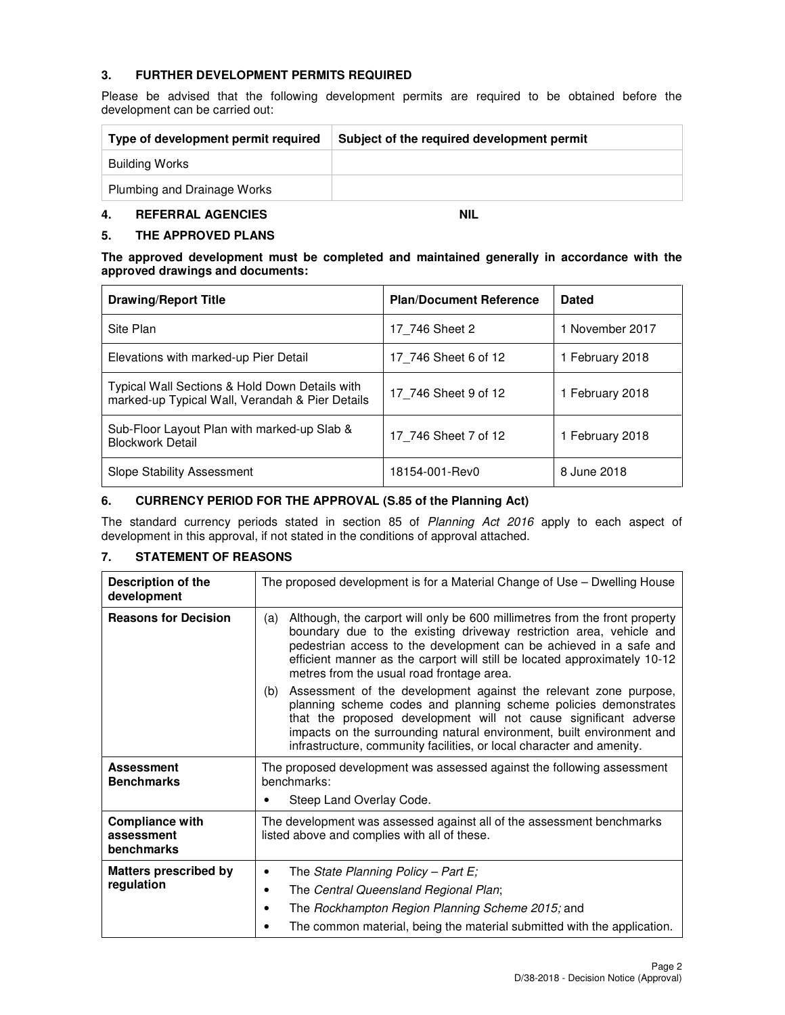## **3. FURTHER DEVELOPMENT PERMITS REQUIRED**

Please be advised that the following development permits are required to be obtained before the development can be carried out:

| Type of development permit required | Subject of the required development permit |  |
|-------------------------------------|--------------------------------------------|--|
| Building Works                      |                                            |  |
| Plumbing and Drainage Works         |                                            |  |

## **4. REFERRAL AGENCIES NIL**

### **5. THE APPROVED PLANS**

#### **The approved development must be completed and maintained generally in accordance with the approved drawings and documents:**

| <b>Drawing/Report Title</b>                                                                       | <b>Plan/Document Reference</b> | <b>Dated</b>    |
|---------------------------------------------------------------------------------------------------|--------------------------------|-----------------|
| Site Plan                                                                                         | 17 746 Sheet 2                 | 1 November 2017 |
| Elevations with marked-up Pier Detail                                                             | 17 746 Sheet 6 of 12           | 1 February 2018 |
| Typical Wall Sections & Hold Down Details with<br>marked-up Typical Wall, Verandah & Pier Details | 17 746 Sheet 9 of 12           | 1 February 2018 |
| Sub-Floor Layout Plan with marked-up Slab &<br><b>Blockwork Detail</b>                            | 17 746 Sheet 7 of 12           | 1 February 2018 |
| Slope Stability Assessment                                                                        | 18154-001-Rev0                 | 8 June 2018     |

#### **6. CURRENCY PERIOD FOR THE APPROVAL (S.85 of the Planning Act)**

The standard currency periods stated in section 85 of Planning Act 2016 apply to each aspect of development in this approval, if not stated in the conditions of approval attached.

## **7. STATEMENT OF REASONS**

| Description of the<br>development                  | The proposed development is for a Material Change of Use – Dwelling House                                                                                                                                                                                                                                                                                        |  |  |
|----------------------------------------------------|------------------------------------------------------------------------------------------------------------------------------------------------------------------------------------------------------------------------------------------------------------------------------------------------------------------------------------------------------------------|--|--|
| <b>Reasons for Decision</b>                        | Although, the carport will only be 600 millimetres from the front property<br>(a)<br>boundary due to the existing driveway restriction area, vehicle and<br>pedestrian access to the development can be achieved in a safe and<br>efficient manner as the carport will still be located approximately 10-12<br>metres from the usual road frontage area.         |  |  |
|                                                    | Assessment of the development against the relevant zone purpose,<br>(b)<br>planning scheme codes and planning scheme policies demonstrates<br>that the proposed development will not cause significant adverse<br>impacts on the surrounding natural environment, built environment and<br>infrastructure, community facilities, or local character and amenity. |  |  |
| <b>Assessment</b><br><b>Benchmarks</b>             | The proposed development was assessed against the following assessment<br>benchmarks:                                                                                                                                                                                                                                                                            |  |  |
|                                                    | Steep Land Overlay Code.                                                                                                                                                                                                                                                                                                                                         |  |  |
| <b>Compliance with</b><br>assessment<br>benchmarks | The development was assessed against all of the assessment benchmarks<br>listed above and complies with all of these.                                                                                                                                                                                                                                            |  |  |
| <b>Matters prescribed by</b>                       | The State Planning Policy - Part E;<br>٠                                                                                                                                                                                                                                                                                                                         |  |  |
| regulation                                         | The Central Queensland Regional Plan;<br>٠                                                                                                                                                                                                                                                                                                                       |  |  |
|                                                    | The Rockhampton Region Planning Scheme 2015; and<br>٠                                                                                                                                                                                                                                                                                                            |  |  |
|                                                    | The common material, being the material submitted with the application.<br>٠                                                                                                                                                                                                                                                                                     |  |  |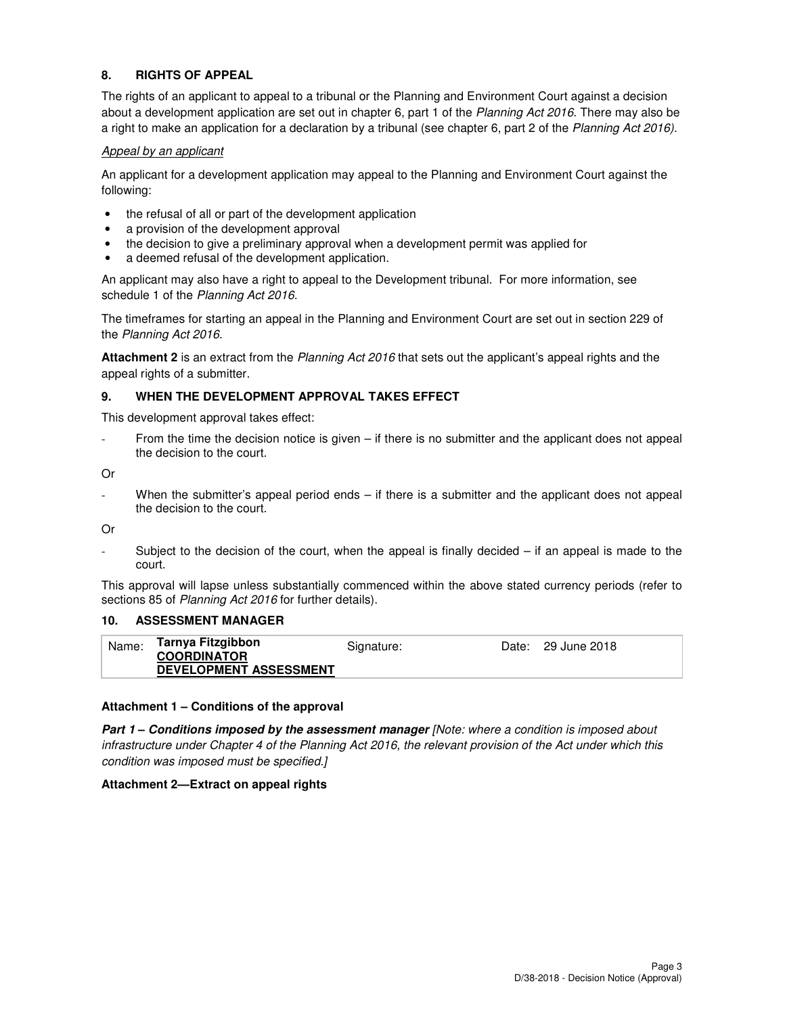## **8. RIGHTS OF APPEAL**

The rights of an applicant to appeal to a tribunal or the Planning and Environment Court against a decision about a development application are set out in chapter 6, part 1 of the Planning Act 2016. There may also be a right to make an application for a declaration by a tribunal (see chapter 6, part 2 of the Planning Act 2016).

#### Appeal by an applicant

An applicant for a development application may appeal to the Planning and Environment Court against the following:

- the refusal of all or part of the development application
- a provision of the development approval
- the decision to give a preliminary approval when a development permit was applied for
- a deemed refusal of the development application.

An applicant may also have a right to appeal to the Development tribunal. For more information, see schedule 1 of the Planning Act 2016.

The timeframes for starting an appeal in the Planning and Environment Court are set out in section 229 of the Planning Act 2016.

**Attachment 2** is an extract from the Planning Act 2016 that sets out the applicant's appeal rights and the appeal rights of a submitter.

#### **9. WHEN THE DEVELOPMENT APPROVAL TAKES EFFECT**

This development approval takes effect:

From the time the decision notice is given – if there is no submitter and the applicant does not appeal the decision to the court.

Or

When the submitter's appeal period ends – if there is a submitter and the applicant does not appeal the decision to the court.

Or

Subject to the decision of the court, when the appeal is finally decided  $-$  if an appeal is made to the court.

This approval will lapse unless substantially commenced within the above stated currency periods (refer to sections 85 of Planning Act 2016 for further details).

### **10. ASSESSMENT MANAGER**

| Name: | Tarnya Fitzgibbon             | Signature: | Date: 29 June 2018 |
|-------|-------------------------------|------------|--------------------|
|       | <b>COORDINATOR</b>            |            |                    |
|       | <b>DEVELOPMENT ASSESSMENT</b> |            |                    |

#### **Attachment 1 – Conditions of the approval**

**Part 1 – Conditions imposed by the assessment manager** [Note: where a condition is imposed about infrastructure under Chapter 4 of the Planning Act 2016, the relevant provision of the Act under which this condition was imposed must be specified.]

#### **Attachment 2—Extract on appeal rights**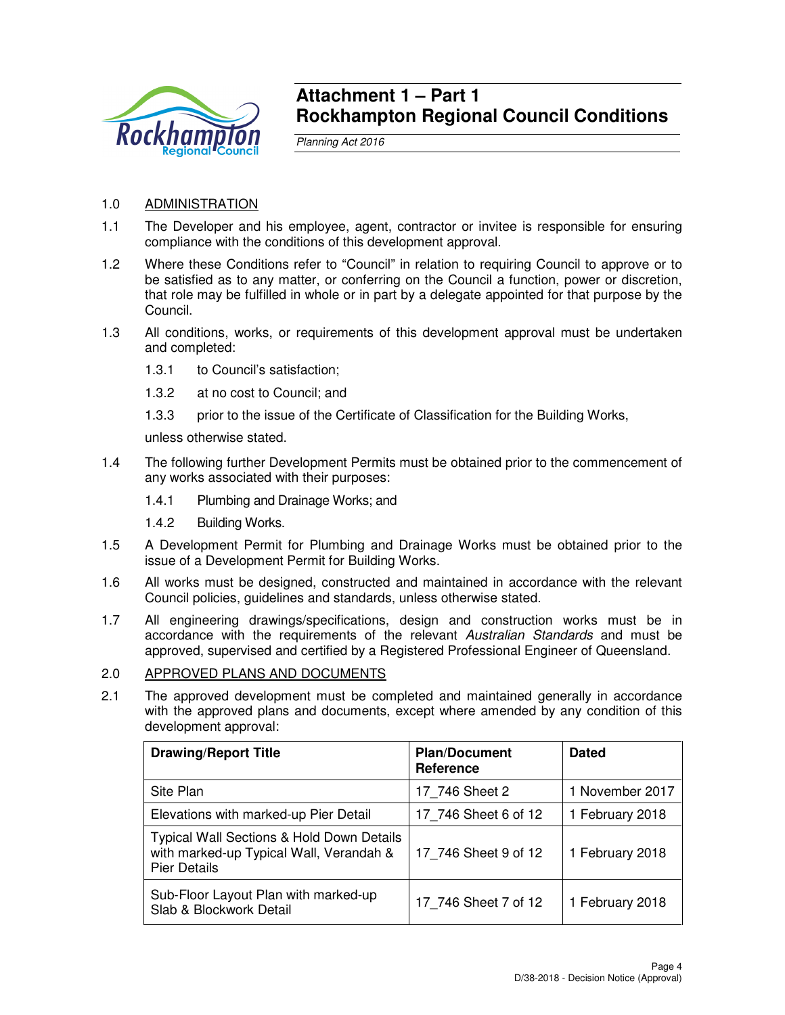

## **Attachment 1 – Part 1 Rockhampton Regional Council Conditions**

Planning Act 2016

## 1.0 ADMINISTRATION

- 1.1 The Developer and his employee, agent, contractor or invitee is responsible for ensuring compliance with the conditions of this development approval.
- 1.2 Where these Conditions refer to "Council" in relation to requiring Council to approve or to be satisfied as to any matter, or conferring on the Council a function, power or discretion, that role may be fulfilled in whole or in part by a delegate appointed for that purpose by the Council.
- 1.3 All conditions, works, or requirements of this development approval must be undertaken and completed:
	- 1.3.1 to Council's satisfaction;
	- 1.3.2 at no cost to Council; and
	- 1.3.3 prior to the issue of the Certificate of Classification for the Building Works,

unless otherwise stated.

- 1.4 The following further Development Permits must be obtained prior to the commencement of any works associated with their purposes:
	- 1.4.1 Plumbing and Drainage Works; and
	- 1.4.2 Building Works.
- 1.5 A Development Permit for Plumbing and Drainage Works must be obtained prior to the issue of a Development Permit for Building Works.
- 1.6 All works must be designed, constructed and maintained in accordance with the relevant Council policies, guidelines and standards, unless otherwise stated.
- 1.7 All engineering drawings/specifications, design and construction works must be in accordance with the requirements of the relevant Australian Standards and must be approved, supervised and certified by a Registered Professional Engineer of Queensland.

## 2.0 APPROVED PLANS AND DOCUMENTS

2.1 The approved development must be completed and maintained generally in accordance with the approved plans and documents, except where amended by any condition of this development approval:

| <b>Drawing/Report Title</b>                                                                                            | <b>Plan/Document</b><br><b>Reference</b> | <b>Dated</b>    |
|------------------------------------------------------------------------------------------------------------------------|------------------------------------------|-----------------|
| Site Plan                                                                                                              | 17 746 Sheet 2                           | 1 November 2017 |
| Elevations with marked-up Pier Detail                                                                                  | 17 746 Sheet 6 of 12                     | 1 February 2018 |
| <b>Typical Wall Sections &amp; Hold Down Details</b><br>with marked-up Typical Wall, Verandah &<br><b>Pier Details</b> | 17 746 Sheet 9 of 12                     | 1 February 2018 |
| Sub-Floor Layout Plan with marked-up<br>Slab & Blockwork Detail                                                        | 17 746 Sheet 7 of 12                     | 1 February 2018 |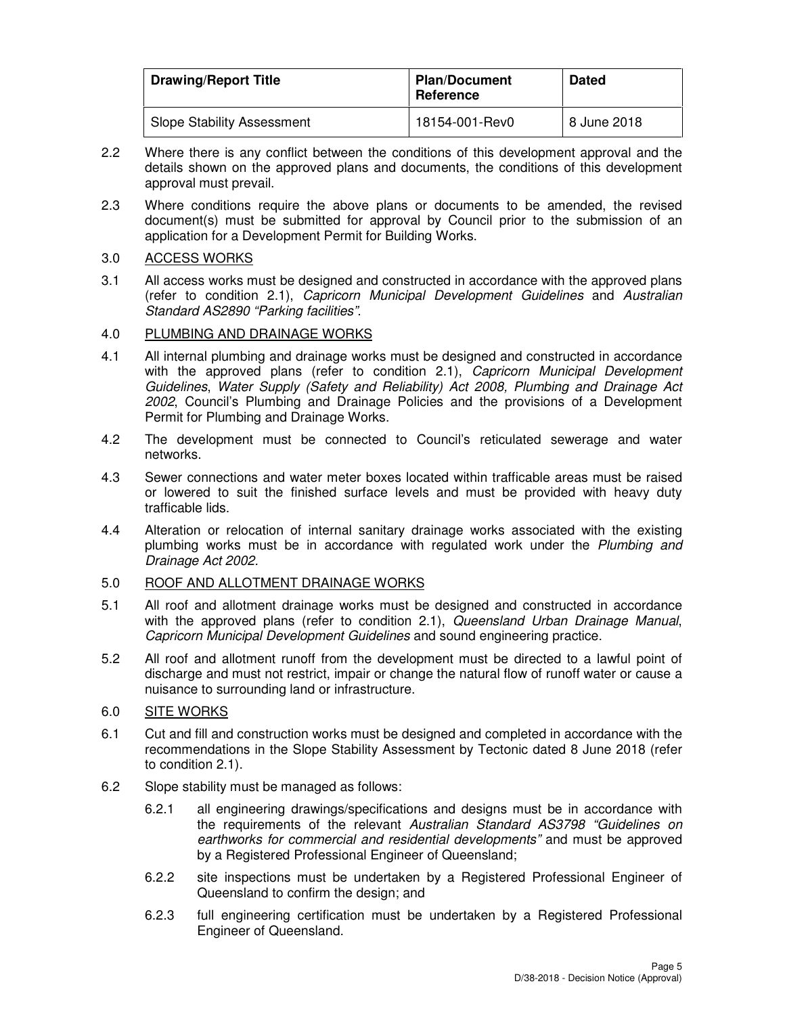| <b>Drawing/Report Title</b>       | <b>Plan/Document</b><br>Reference | <b>Dated</b> |
|-----------------------------------|-----------------------------------|--------------|
| <b>Slope Stability Assessment</b> | 18154-001-Rev0                    | 8 June 2018  |

- 2.2 Where there is any conflict between the conditions of this development approval and the details shown on the approved plans and documents, the conditions of this development approval must prevail.
- 2.3 Where conditions require the above plans or documents to be amended, the revised document(s) must be submitted for approval by Council prior to the submission of an application for a Development Permit for Building Works.

## 3.0 ACCESS WORKS

3.1 All access works must be designed and constructed in accordance with the approved plans (refer to condition 2.1), Capricorn Municipal Development Guidelines and Australian Standard AS2890 "Parking facilities".

## 4.0 PLUMBING AND DRAINAGE WORKS

- 4.1 All internal plumbing and drainage works must be designed and constructed in accordance with the approved plans (refer to condition 2.1), Capricorn Municipal Development Guidelines, Water Supply (Safety and Reliability) Act 2008, Plumbing and Drainage Act 2002, Council's Plumbing and Drainage Policies and the provisions of a Development Permit for Plumbing and Drainage Works.
- 4.2 The development must be connected to Council's reticulated sewerage and water networks.
- 4.3 Sewer connections and water meter boxes located within trafficable areas must be raised or lowered to suit the finished surface levels and must be provided with heavy duty trafficable lids.
- 4.4 Alteration or relocation of internal sanitary drainage works associated with the existing plumbing works must be in accordance with regulated work under the Plumbing and Drainage Act 2002.

## 5.0 ROOF AND ALLOTMENT DRAINAGE WORKS

- 5.1 All roof and allotment drainage works must be designed and constructed in accordance with the approved plans (refer to condition 2.1), Queensland Urban Drainage Manual, Capricorn Municipal Development Guidelines and sound engineering practice.
- 5.2 All roof and allotment runoff from the development must be directed to a lawful point of discharge and must not restrict, impair or change the natural flow of runoff water or cause a nuisance to surrounding land or infrastructure.

## 6.0 SITE WORKS

- 6.1 Cut and fill and construction works must be designed and completed in accordance with the recommendations in the Slope Stability Assessment by Tectonic dated 8 June 2018 (refer to condition 2.1).
- 6.2 Slope stability must be managed as follows:
	- 6.2.1 all engineering drawings/specifications and designs must be in accordance with the requirements of the relevant Australian Standard AS3798 "Guidelines on earthworks for commercial and residential developments" and must be approved by a Registered Professional Engineer of Queensland;
	- 6.2.2 site inspections must be undertaken by a Registered Professional Engineer of Queensland to confirm the design; and
	- 6.2.3 full engineering certification must be undertaken by a Registered Professional Engineer of Queensland.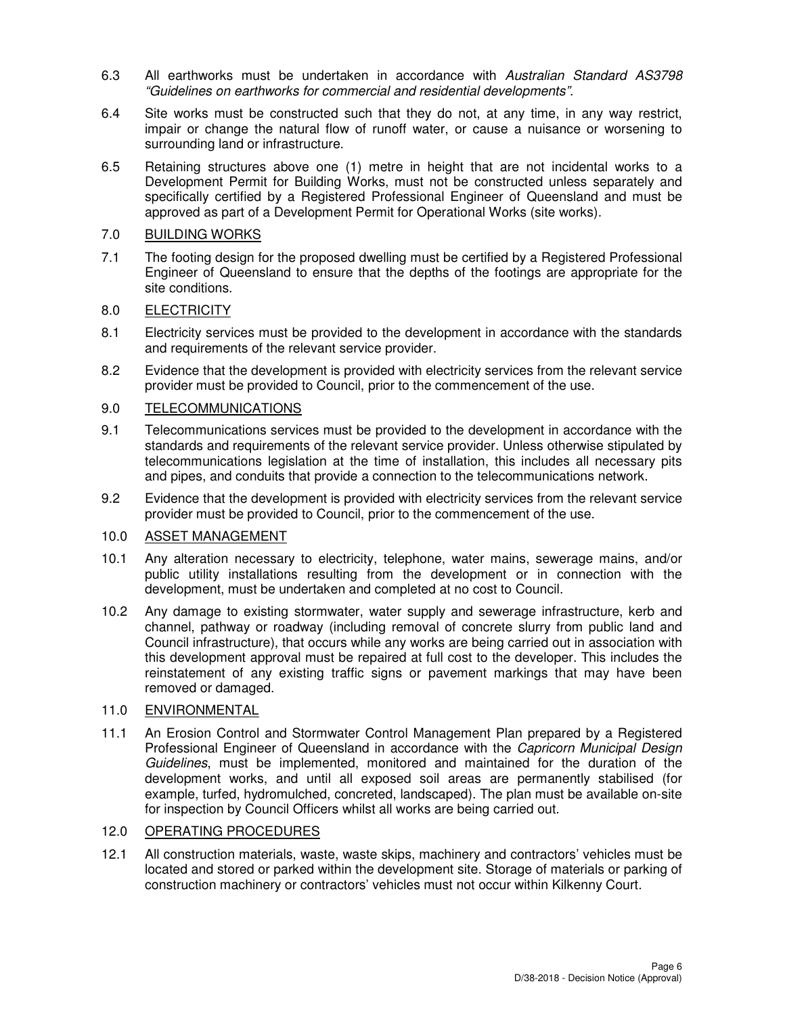- 6.3 All earthworks must be undertaken in accordance with Australian Standard AS3798 "Guidelines on earthworks for commercial and residential developments".
- 6.4 Site works must be constructed such that they do not, at any time, in any way restrict, impair or change the natural flow of runoff water, or cause a nuisance or worsening to surrounding land or infrastructure.
- 6.5 Retaining structures above one (1) metre in height that are not incidental works to a Development Permit for Building Works, must not be constructed unless separately and specifically certified by a Registered Professional Engineer of Queensland and must be approved as part of a Development Permit for Operational Works (site works).

## 7.0 BUILDING WORKS

7.1 The footing design for the proposed dwelling must be certified by a Registered Professional Engineer of Queensland to ensure that the depths of the footings are appropriate for the site conditions.

## 8.0 ELECTRICITY

- 8.1 Electricity services must be provided to the development in accordance with the standards and requirements of the relevant service provider.
- 8.2 Evidence that the development is provided with electricity services from the relevant service provider must be provided to Council, prior to the commencement of the use.

## 9.0 TELECOMMUNICATIONS

- 9.1 Telecommunications services must be provided to the development in accordance with the standards and requirements of the relevant service provider. Unless otherwise stipulated by telecommunications legislation at the time of installation, this includes all necessary pits and pipes, and conduits that provide a connection to the telecommunications network.
- 9.2 Evidence that the development is provided with electricity services from the relevant service provider must be provided to Council, prior to the commencement of the use.

## 10.0 ASSET MANAGEMENT

- 10.1 Any alteration necessary to electricity, telephone, water mains, sewerage mains, and/or public utility installations resulting from the development or in connection with the development, must be undertaken and completed at no cost to Council.
- 10.2 Any damage to existing stormwater, water supply and sewerage infrastructure, kerb and channel, pathway or roadway (including removal of concrete slurry from public land and Council infrastructure), that occurs while any works are being carried out in association with this development approval must be repaired at full cost to the developer. This includes the reinstatement of any existing traffic signs or pavement markings that may have been removed or damaged.

#### 11.0 ENVIRONMENTAL

11.1 An Erosion Control and Stormwater Control Management Plan prepared by a Registered Professional Engineer of Queensland in accordance with the Capricorn Municipal Design Guidelines, must be implemented, monitored and maintained for the duration of the development works, and until all exposed soil areas are permanently stabilised (for example, turfed, hydromulched, concreted, landscaped). The plan must be available on-site for inspection by Council Officers whilst all works are being carried out.

## 12.0 OPERATING PROCEDURES

12.1 All construction materials, waste, waste skips, machinery and contractors' vehicles must be located and stored or parked within the development site. Storage of materials or parking of construction machinery or contractors' vehicles must not occur within Kilkenny Court.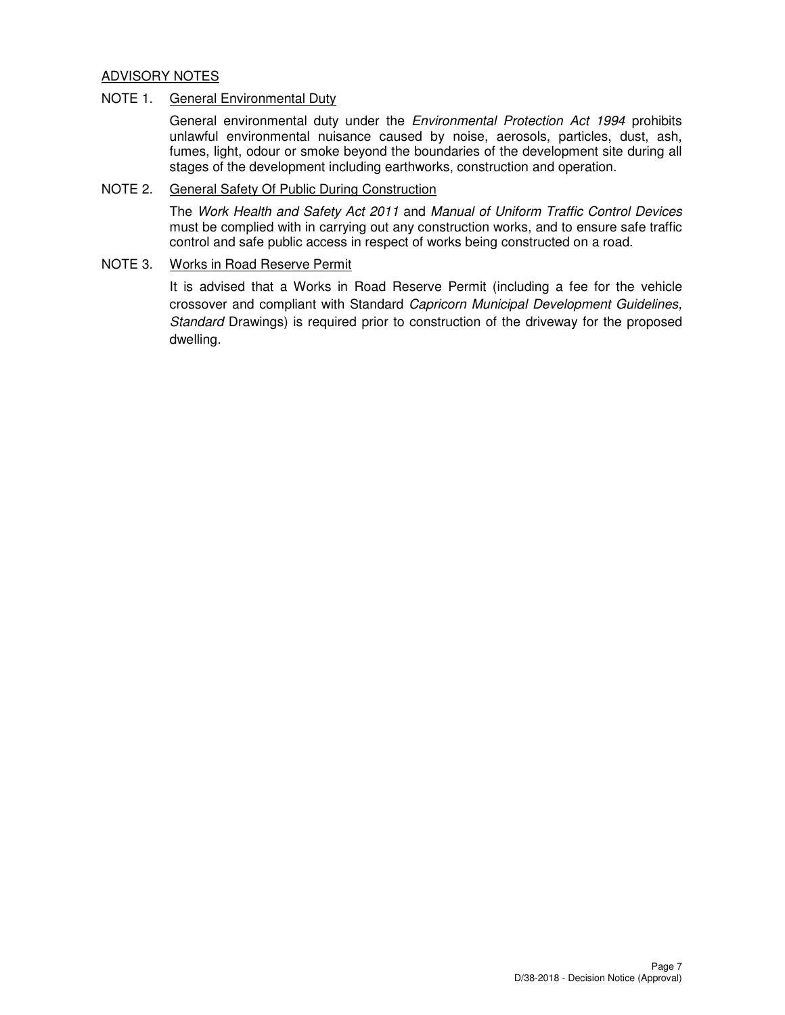## ADVISORY NOTES

### NOTE 1. General Environmental Duty

General environmental duty under the Environmental Protection Act 1994 prohibits unlawful environmental nuisance caused by noise, aerosols, particles, dust, ash, fumes, light, odour or smoke beyond the boundaries of the development site during all stages of the development including earthworks, construction and operation.

## NOTE 2. General Safety Of Public During Construction

The Work Health and Safety Act 2011 and Manual of Uniform Traffic Control Devices must be complied with in carrying out any construction works, and to ensure safe traffic control and safe public access in respect of works being constructed on a road.

#### NOTE 3. Works in Road Reserve Permit

It is advised that a Works in Road Reserve Permit (including a fee for the vehicle crossover and compliant with Standard Capricorn Municipal Development Guidelines, Standard Drawings) is required prior to construction of the driveway for the proposed dwelling.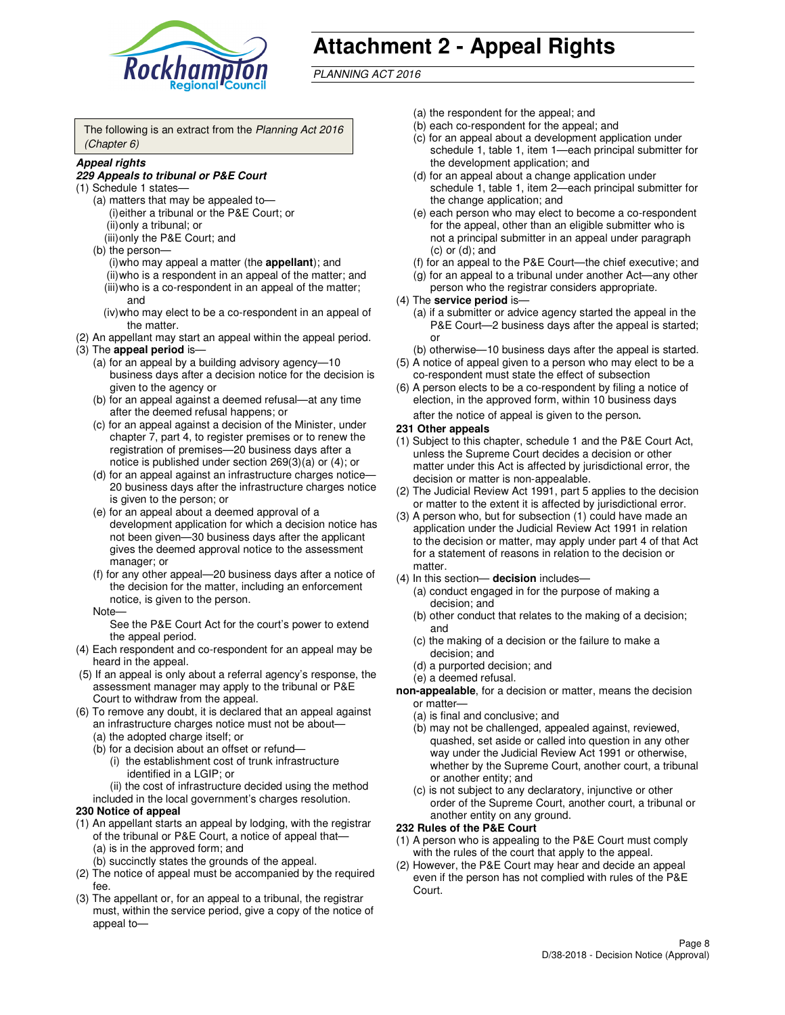

# **Attachment 2 - Appeal Rights**

PLANNING ACT 2016

The following is an extract from the Planning Act 2016 (Chapter 6)

#### **Appeal rights**

#### **229 Appeals to tribunal or P&E Court**

- (1) Schedule 1 states—
	- (a) matters that may be appealed to— (i) either a tribunal or the P&E Court; or (ii) only a tribunal; or (iii) only the P&E Court; and
	- (b) the person—
		- (i) who may appeal a matter (the **appellant**); and
		- (ii) who is a respondent in an appeal of the matter; and (iii) who is a co-respondent in an appeal of the matter;
		- and (iv) who may elect to be a co-respondent in an appeal of the matter.
- (2) An appellant may start an appeal within the appeal period.
- (3) The **appeal period** is—
	- (a) for an appeal by a building advisory agency—10 business days after a decision notice for the decision is given to the agency or
	- (b) for an appeal against a deemed refusal—at any time after the deemed refusal happens; or
	- (c) for an appeal against a decision of the Minister, under chapter 7, part 4, to register premises or to renew the registration of premises—20 business days after a notice is published under section 269(3)(a) or (4); or
	- (d) for an appeal against an infrastructure charges notice— 20 business days after the infrastructure charges notice is given to the person; or
	- (e) for an appeal about a deemed approval of a development application for which a decision notice has not been given—30 business days after the applicant gives the deemed approval notice to the assessment manager; or
	- (f) for any other appeal—20 business days after a notice of the decision for the matter, including an enforcement notice, is given to the person.
	- Note—

See the P&E Court Act for the court's power to extend the appeal period.

- (4) Each respondent and co-respondent for an appeal may be heard in the appeal.
- (5) If an appeal is only about a referral agency's response, the assessment manager may apply to the tribunal or P&E Court to withdraw from the appeal.
- (6) To remove any doubt, it is declared that an appeal against an infrastructure charges notice must not be about—
	- (a) the adopted charge itself; or
	- (b) for a decision about an offset or refund—
		- (i) the establishment cost of trunk infrastructure identified in a LGIP; or

(ii) the cost of infrastructure decided using the method

- included in the local government's charges resolution. **230 Notice of appeal**
- (1) An appellant starts an appeal by lodging, with the registrar of the tribunal or P&E Court, a notice of appeal that—
	- (a) is in the approved form; and
	- (b) succinctly states the grounds of the appeal.
- (2) The notice of appeal must be accompanied by the required fee.
- (3) The appellant or, for an appeal to a tribunal, the registrar must, within the service period, give a copy of the notice of appeal to—
- (a) the respondent for the appeal; and
- (b) each co-respondent for the appeal; and
- (c) for an appeal about a development application under schedule 1, table 1, item 1—each principal submitter for the development application; and
- (d) for an appeal about a change application under schedule 1, table 1, item 2—each principal submitter for the change application; and
- (e) each person who may elect to become a co-respondent for the appeal, other than an eligible submitter who is not a principal submitter in an appeal under paragraph  $(c)$  or  $(d)$ ; and
- (f) for an appeal to the P&E Court—the chief executive; and
- (g) for an appeal to a tribunal under another Act—any other person who the registrar considers appropriate.
- (4) The **service period** is—
	- (a) if a submitter or advice agency started the appeal in the P&E Court—2 business days after the appeal is started; or
	- (b) otherwise—10 business days after the appeal is started.
- (5) A notice of appeal given to a person who may elect to be a co-respondent must state the effect of subsection
- (6) A person elects to be a co-respondent by filing a notice of election, in the approved form, within 10 business days after the notice of appeal is given to the person*.*
- **231 Other appeals**
- (1) Subject to this chapter, schedule 1 and the P&E Court Act, unless the Supreme Court decides a decision or other matter under this Act is affected by jurisdictional error, the decision or matter is non-appealable.
- (2) The Judicial Review Act 1991, part 5 applies to the decision or matter to the extent it is affected by jurisdictional error.
- (3) A person who, but for subsection (1) could have made an application under the Judicial Review Act 1991 in relation to the decision or matter, may apply under part 4 of that Act for a statement of reasons in relation to the decision or matter.
- (4) In this section— **decision** includes—
	- (a) conduct engaged in for the purpose of making a decision; and
	- (b) other conduct that relates to the making of a decision; and
	- (c) the making of a decision or the failure to make a decision; and
	- (d) a purported decision; and
	- (e) a deemed refusal.

**non-appealable**, for a decision or matter, means the decision or matter—

- (a) is final and conclusive; and
- (b) may not be challenged, appealed against, reviewed, quashed, set aside or called into question in any other way under the Judicial Review Act 1991 or otherwise, whether by the Supreme Court, another court, a tribunal or another entity; and
- (c) is not subject to any declaratory, injunctive or other order of the Supreme Court, another court, a tribunal or another entity on any ground.

#### **232 Rules of the P&E Court**

- (1) A person who is appealing to the P&E Court must comply with the rules of the court that apply to the appeal.
- (2) However, the P&E Court may hear and decide an appeal even if the person has not complied with rules of the P&E Court.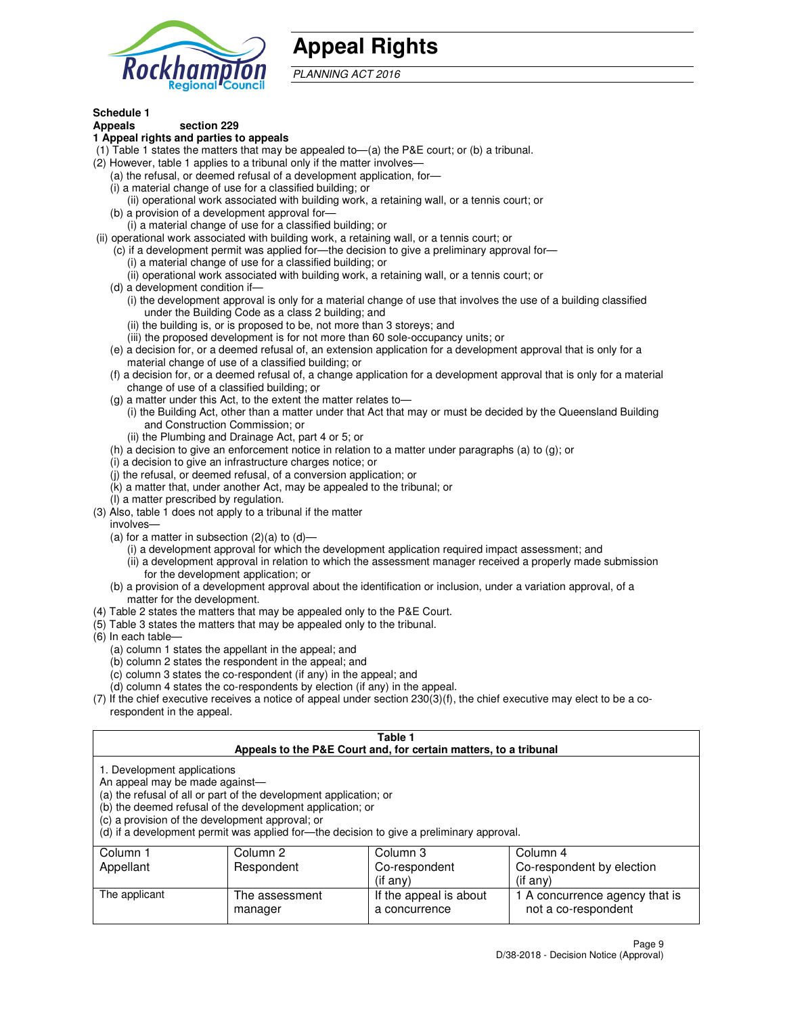

## **Appeal Rights**

PLANNING ACT 2016

## **Schedule 1**

## **Appeals section 229**

- **1 Appeal rights and parties to appeals**
- (1) Table 1 states the matters that may be appealed to—(a) the P&E court; or (b) a tribunal.
- (2) However, table 1 applies to a tribunal only if the matter involves—
	- (a) the refusal, or deemed refusal of a development application, for—
	- (i) a material change of use for a classified building; or
	- (ii) operational work associated with building work, a retaining wall, or a tennis court; or
	- (b) a provision of a development approval for—
	- (i) a material change of use for a classified building; or
- (ii) operational work associated with building work, a retaining wall, or a tennis court; or
	- (c) if a development permit was applied for—the decision to give a preliminary approval for—
		- (i) a material change of use for a classified building; or
		- (ii) operational work associated with building work, a retaining wall, or a tennis court; or
	- (d) a development condition if—
		- (i) the development approval is only for a material change of use that involves the use of a building classified under the Building Code as a class 2 building; and
		- (ii) the building is, or is proposed to be, not more than 3 storeys; and
		- (iii) the proposed development is for not more than 60 sole-occupancy units; or
	- (e) a decision for, or a deemed refusal of, an extension application for a development approval that is only for a material change of use of a classified building; or
	- (f) a decision for, or a deemed refusal of, a change application for a development approval that is only for a material change of use of a classified building; or
	- (g) a matter under this Act, to the extent the matter relates to—
		- (i) the Building Act, other than a matter under that Act that may or must be decided by the Queensland Building and Construction Commission; or
		- (ii) the Plumbing and Drainage Act, part 4 or 5; or
	- (h) a decision to give an enforcement notice in relation to a matter under paragraphs (a) to (g); or
	- (i) a decision to give an infrastructure charges notice; or
	- (j) the refusal, or deemed refusal, of a conversion application; or
	- (k) a matter that, under another Act, may be appealed to the tribunal; or
	- (l) a matter prescribed by regulation.
- (3) Also, table 1 does not apply to a tribunal if the matter
	- involves—
	- (a) for a matter in subsection  $(2)(a)$  to  $(d)$ 
		- (i) a development approval for which the development application required impact assessment; and
		- (ii) a development approval in relation to which the assessment manager received a properly made submission for the development application; or
	- (b) a provision of a development approval about the identification or inclusion, under a variation approval, of a matter for the development.
- (4) Table 2 states the matters that may be appealed only to the P&E Court.
- (5) Table 3 states the matters that may be appealed only to the tribunal.
- (6) In each table—
	- (a) column 1 states the appellant in the appeal; and
	- (b) column 2 states the respondent in the appeal; and
	- (c) column 3 states the co-respondent (if any) in the appeal; and
	- (d) column 4 states the co-respondents by election (if any) in the appeal.
- $(7)$  If the chief executive receives a notice of appeal under section  $230(3)(f)$ , the chief executive may elect to be a corespondent in the appeal.

| Table 1<br>Appeals to the P&E Court and, for certain matters, to a tribunal                                      |                                                                                                                                                                                                                            |                        |                                |  |
|------------------------------------------------------------------------------------------------------------------|----------------------------------------------------------------------------------------------------------------------------------------------------------------------------------------------------------------------------|------------------------|--------------------------------|--|
| 1. Development applications<br>An appeal may be made against-<br>(c) a provision of the development approval; or | (a) the refusal of all or part of the development application; or<br>(b) the deemed refusal of the development application; or<br>(d) if a development permit was applied for-the decision to give a preliminary approval. |                        |                                |  |
| Column 1                                                                                                         | Column 2                                                                                                                                                                                                                   | Column 3               | Column 4                       |  |
| Appellant                                                                                                        | Respondent                                                                                                                                                                                                                 | Co-respondent          | Co-respondent by election      |  |
| $(if$ any)<br>$(if$ any)                                                                                         |                                                                                                                                                                                                                            |                        |                                |  |
| The applicant                                                                                                    | The assessment                                                                                                                                                                                                             | If the appeal is about | 1 A concurrence agency that is |  |
|                                                                                                                  | manager                                                                                                                                                                                                                    | a concurrence          | not a co-respondent            |  |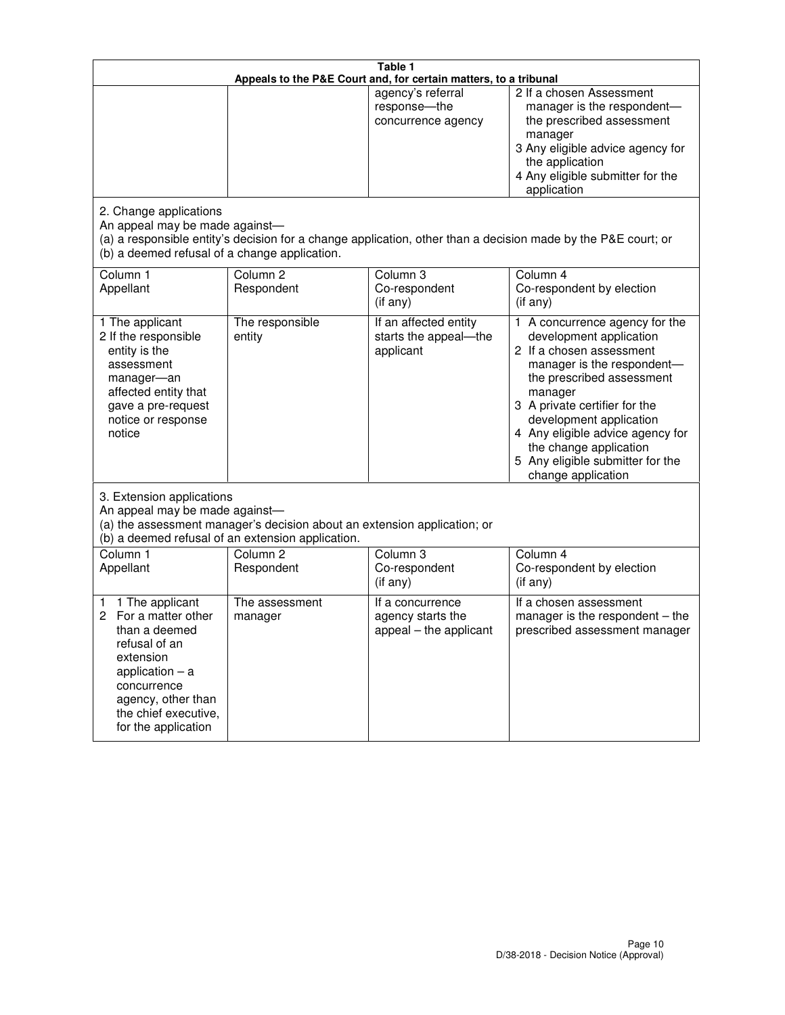| Table 1<br>Appeals to the P&E Court and, for certain matters, to a tribunal                                                                                                                             |                                   |                                                                 |                                                                                                                                                                                                                                                                                                                                                 |  |
|---------------------------------------------------------------------------------------------------------------------------------------------------------------------------------------------------------|-----------------------------------|-----------------------------------------------------------------|-------------------------------------------------------------------------------------------------------------------------------------------------------------------------------------------------------------------------------------------------------------------------------------------------------------------------------------------------|--|
|                                                                                                                                                                                                         |                                   | agency's referral<br>response-the<br>concurrence agency         | 2 If a chosen Assessment<br>manager is the respondent-<br>the prescribed assessment<br>manager<br>3 Any eligible advice agency for<br>the application<br>4 Any eligible submitter for the<br>application                                                                                                                                        |  |
| 2. Change applications<br>An appeal may be made against-<br>(b) a deemed refusal of a change application.                                                                                               |                                   |                                                                 | (a) a responsible entity's decision for a change application, other than a decision made by the P&E court; or                                                                                                                                                                                                                                   |  |
| Column 1<br>Appellant                                                                                                                                                                                   | Column <sub>2</sub><br>Respondent | Column <sub>3</sub><br>Co-respondent<br>(if any)                | Column 4<br>Co-respondent by election<br>(if any)                                                                                                                                                                                                                                                                                               |  |
| 1 The applicant<br>2 If the responsible<br>entity is the<br>assessment<br>manager-an<br>affected entity that<br>gave a pre-request<br>notice or response<br>notice                                      | The responsible<br>entity         | If an affected entity<br>starts the appeal-the<br>applicant     | 1 A concurrence agency for the<br>development application<br>2 If a chosen assessment<br>manager is the respondent-<br>the prescribed assessment<br>manager<br>3 A private certifier for the<br>development application<br>4 Any eligible advice agency for<br>the change application<br>5 Any eligible submitter for the<br>change application |  |
| 3. Extension applications<br>An appeal may be made against-<br>(a) the assessment manager's decision about an extension application; or<br>(b) a deemed refusal of an extension application.            |                                   |                                                                 |                                                                                                                                                                                                                                                                                                                                                 |  |
| Column 1<br>Appellant                                                                                                                                                                                   | Column <sub>2</sub><br>Respondent | Column <sub>3</sub><br>Co-respondent<br>(if any)                | Column 4<br>Co-respondent by election<br>(if any)                                                                                                                                                                                                                                                                                               |  |
| 1 The applicant<br>1<br>For a matter other<br>2<br>than a deemed<br>refusal of an<br>extension<br>application $-$ a<br>concurrence<br>agency, other than<br>the chief executive,<br>for the application | The assessment<br>manager         | If a concurrence<br>agency starts the<br>appeal - the applicant | If a chosen assessment<br>manager is the respondent $-$ the<br>prescribed assessment manager                                                                                                                                                                                                                                                    |  |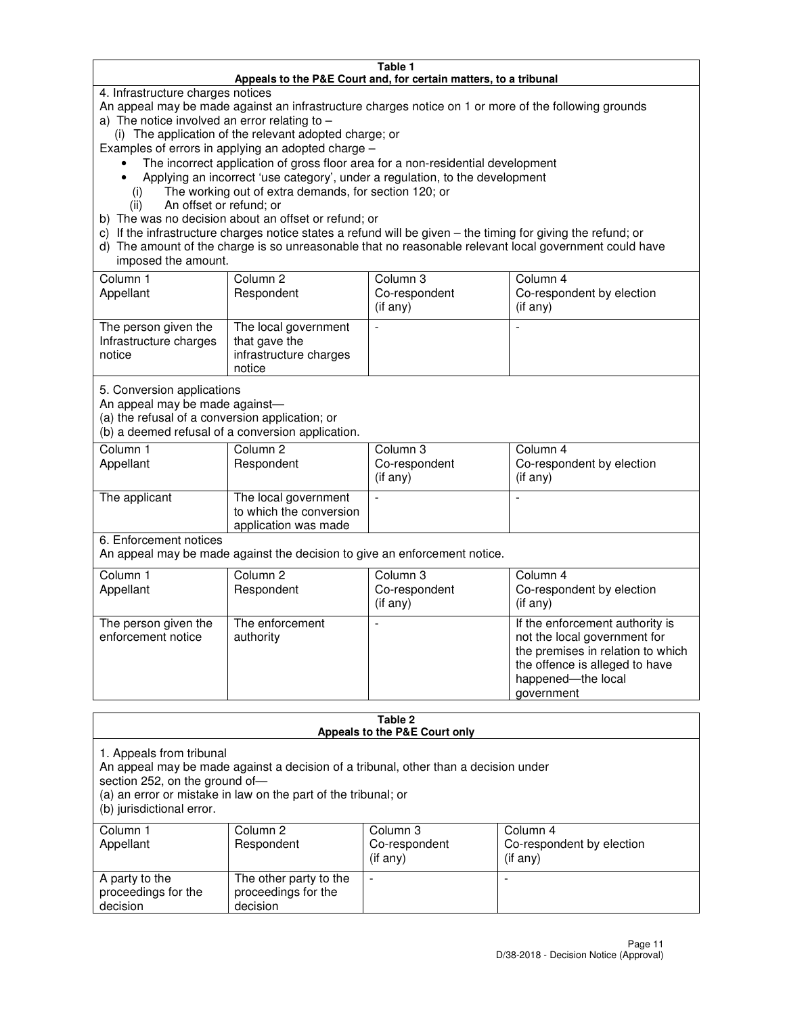#### **Table 1 Appeals to the P&E Court and, for certain matters, to a tribunal**

4. Infrastructure charges notices

An appeal may be made against an infrastructure charges notice on 1 or more of the following grounds

- a) The notice involved an error relating to  $-$ 
	- (i) The application of the relevant adopted charge; or

Examples of errors in applying an adopted charge –

- The incorrect application of gross floor area for a non-residential development
- Applying an incorrect 'use category', under a regulation, to the development
	- (i) The working out of extra demands, for section 120; or
	- (ii) An offset or refund; or
- b) The was no decision about an offset or refund; or
- c) If the infrastructure charges notice states a refund will be given the timing for giving the refund; or
- d) The amount of the charge is so unreasonable that no reasonable relevant local government could have imposed the amount.

| Column 1<br>Appellant                                    | Column 2<br>Respondent                                                    | Column 3<br>Co-respondent<br>$($ if any $)$ | Column 4<br>Co-respondent by election<br>$($ if any $)$ |
|----------------------------------------------------------|---------------------------------------------------------------------------|---------------------------------------------|---------------------------------------------------------|
| The person given the<br>Infrastructure charges<br>notice | The local government<br>that gave the<br>infrastructure charges<br>notice |                                             |                                                         |

5. Conversion applications

An appeal may be made against—

(a) the refusal of a conversion application; or

(b) a deemed refusal of a conversion application.

| Column 1<br>Appellant | Column 2<br>Respondent                                                  | Column 3<br>Co-respondent<br>$($ if any $)$ | Column 4<br>Co-respondent by election<br>$($ if any $)$ |
|-----------------------|-------------------------------------------------------------------------|---------------------------------------------|---------------------------------------------------------|
| The applicant         | The local government<br>to which the conversion<br>application was made |                                             |                                                         |

6. Enforcement notices

An appeal may be made against the decision to give an enforcement notice.

| Column 1<br>Appellant                      | Column 2<br>Respondent       | Column 3<br>Co-respondent<br>$($ if any $)$ | Column 4<br>Co-respondent by election<br>(if any)                                                                                                                          |
|--------------------------------------------|------------------------------|---------------------------------------------|----------------------------------------------------------------------------------------------------------------------------------------------------------------------------|
| The person given the<br>enforcement notice | The enforcement<br>authority |                                             | If the enforcement authority is<br>not the local government for<br>the premises in relation to which<br>the offence is alleged to have<br>happened-the local<br>government |

#### **Table 2 Appeals to the P&E Court only**

1. Appeals from tribunal

An appeal may be made against a decision of a tribunal, other than a decision under

section 252, on the ground of—

(a) an error or mistake in law on the part of the tribunal; or

(b) jurisdictional error.

| Column 1<br>Appellant                             | Column 2<br>Respondent                                    | Column 3<br>Co-respondent<br>(if any) | Column 4<br>Co-respondent by election<br>(if any) |
|---------------------------------------------------|-----------------------------------------------------------|---------------------------------------|---------------------------------------------------|
| A party to the<br>proceedings for the<br>decision | The other party to the<br>proceedings for the<br>decision | $\overline{\phantom{a}}$              |                                                   |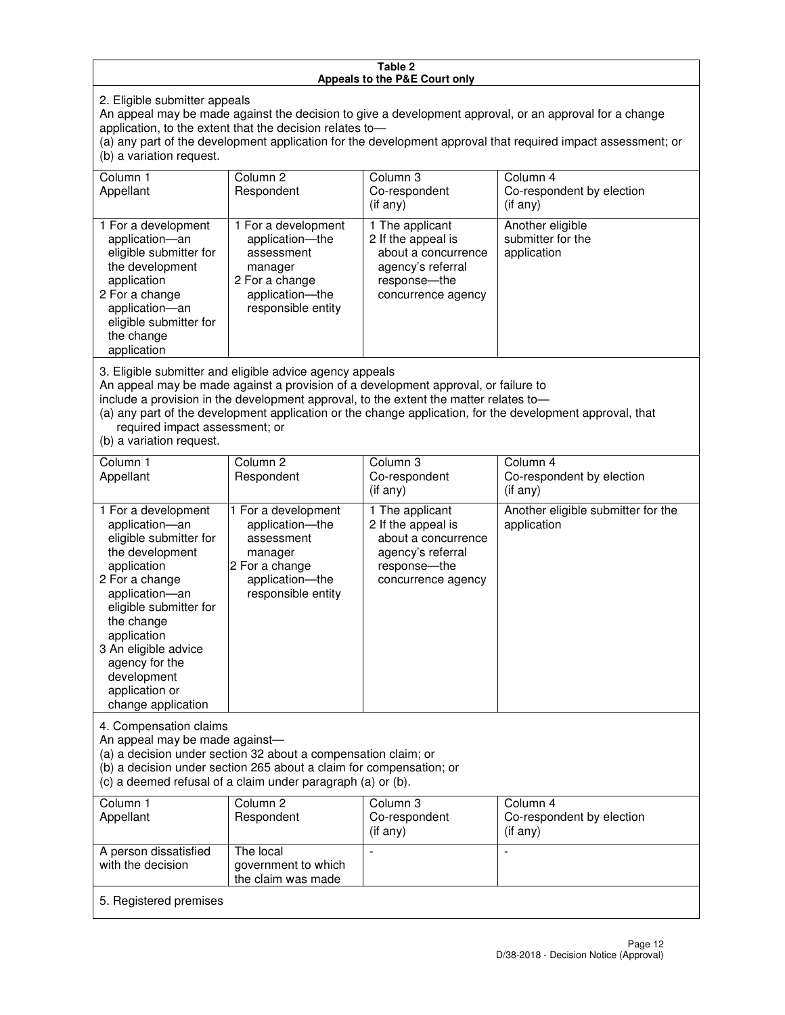#### **Table 2 Appeals to the P&E Court only**

2. Eligible submitter appeals

An appeal may be made against the decision to give a development approval, or an approval for a change application, to the extent that the decision relates to—

(a) any part of the development application for the development approval that required impact assessment; or (b) a variation request.

| Column 1<br>Appellant                                                                                                                                                                                                                                                                                                                                                                                              | Column <sub>2</sub><br>Respondent                                                                                          | Column 3<br>Co-respondent<br>(i f any)                                                                                    | Column 4<br>Co-respondent by election<br>(i f any)   |
|--------------------------------------------------------------------------------------------------------------------------------------------------------------------------------------------------------------------------------------------------------------------------------------------------------------------------------------------------------------------------------------------------------------------|----------------------------------------------------------------------------------------------------------------------------|---------------------------------------------------------------------------------------------------------------------------|------------------------------------------------------|
| 1 For a development<br>application-an<br>eligible submitter for<br>the development<br>application<br>2 For a change<br>application-an<br>eligible submitter for<br>the change<br>application                                                                                                                                                                                                                       | 1 For a development<br>application-the<br>assessment<br>manager<br>2 For a change<br>application-the<br>responsible entity | 1 The applicant<br>2 If the appeal is<br>about a concurrence<br>agency's referral<br>response---the<br>concurrence agency | Another eligible<br>submitter for the<br>application |
| 3. Eligible submitter and eligible advice agency appeals<br>An appeal may be made against a provision of a development approval, or failure to<br>include a provision in the development approval, to the extent the matter relates to-<br>(a) any part of the development application or the change application, for the development approval, that<br>required impact assessment; or<br>(b) a variation request. |                                                                                                                            |                                                                                                                           |                                                      |
| Column 1<br>Appellant                                                                                                                                                                                                                                                                                                                                                                                              | Column <sub>2</sub><br>Respondent                                                                                          | Column 3<br>Co-respondent<br>(if any)                                                                                     | Column 4<br>Co-respondent by election<br>$(if$ any)  |
| 1 For a development<br>application-an<br>eligible submitter for<br>the development                                                                                                                                                                                                                                                                                                                                 | 1 For a development<br>application-the<br>assessment<br>manager                                                            | 1 The applicant<br>2 If the appeal is<br>about a concurrence<br>agency's referral                                         | Another eligible submitter for the<br>application    |

response—the concurrence agency

change application 4. Compensation claims

application 2 For a change application—an eligible submitter for

the change application 3 An eligible advice agency for the development application or

An appeal may be made against—

(a) a decision under section 32 about a compensation claim; or

2 For a change application—the responsible entity

(b) a decision under section 265 about a claim for compensation; or

(c) a deemed refusal of a claim under paragraph (a) or (b).

| Column 1<br>Appellant                      | Column 2<br>Respondent                                 | Column 3<br>Co-respondent<br>(if any) | Column 4<br>Co-respondent by election<br>$($ if any $)$ |
|--------------------------------------------|--------------------------------------------------------|---------------------------------------|---------------------------------------------------------|
| A person dissatisfied<br>with the decision | The local<br>government to which<br>the claim was made | -                                     |                                                         |
| 5. Registered premises                     |                                                        |                                       |                                                         |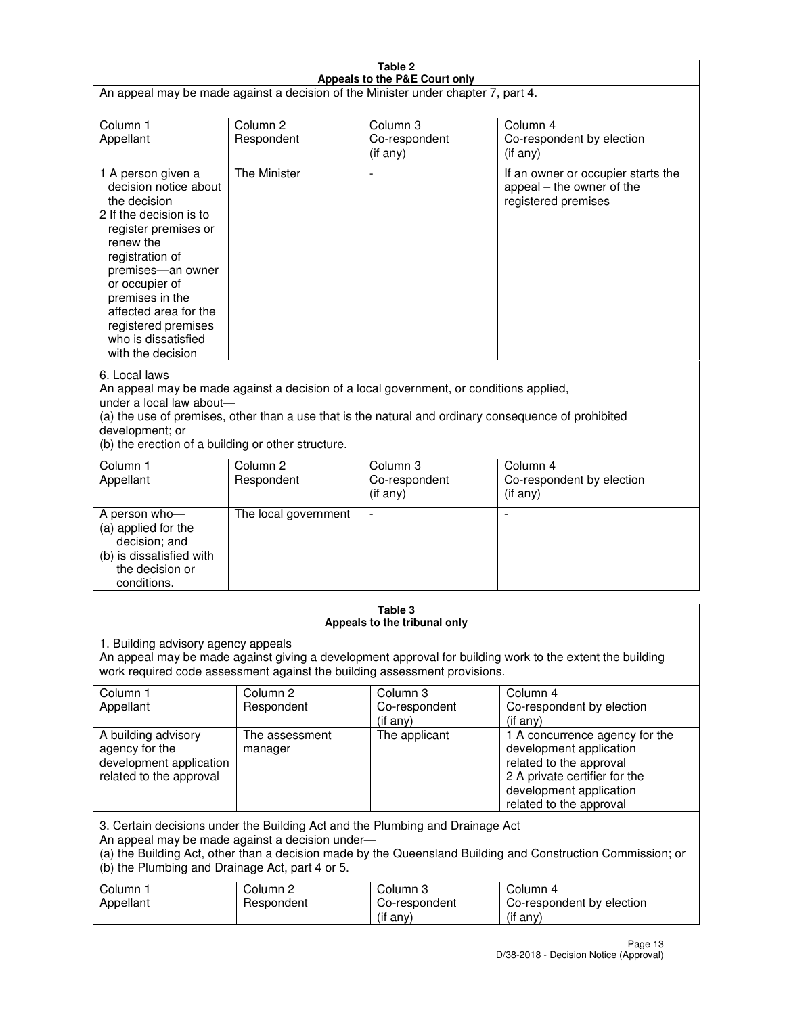| Table 2<br>Appeals to the P&E Court only                                                                                                                                                                                                                                                                                |                                   |                                       |                                                                                                                                                                             |  |
|-------------------------------------------------------------------------------------------------------------------------------------------------------------------------------------------------------------------------------------------------------------------------------------------------------------------------|-----------------------------------|---------------------------------------|-----------------------------------------------------------------------------------------------------------------------------------------------------------------------------|--|
| An appeal may be made against a decision of the Minister under chapter 7, part 4.                                                                                                                                                                                                                                       |                                   |                                       |                                                                                                                                                                             |  |
|                                                                                                                                                                                                                                                                                                                         |                                   |                                       |                                                                                                                                                                             |  |
| Column 1<br>Appellant                                                                                                                                                                                                                                                                                                   | Column <sub>2</sub><br>Respondent | Column <sub>3</sub><br>Co-respondent  | Column <sub>4</sub><br>Co-respondent by election                                                                                                                            |  |
|                                                                                                                                                                                                                                                                                                                         |                                   | (if any)                              | (if any)                                                                                                                                                                    |  |
| 1 A person given a<br>decision notice about<br>the decision<br>2 If the decision is to<br>register premises or<br>renew the<br>registration of<br>premises-an owner<br>or occupier of<br>premises in the<br>affected area for the<br>registered premises<br>who is dissatisfied<br>with the decision                    | <b>The Minister</b>               |                                       | If an owner or occupier starts the<br>appeal – the owner of the<br>registered premises                                                                                      |  |
| 6. Local laws<br>An appeal may be made against a decision of a local government, or conditions applied,<br>under a local law about-<br>(a) the use of premises, other than a use that is the natural and ordinary consequence of prohibited<br>development; or<br>(b) the erection of a building or other structure.    |                                   |                                       |                                                                                                                                                                             |  |
| Column 1                                                                                                                                                                                                                                                                                                                | Column <sub>2</sub>               | Column 3                              | Column $\overline{4}$                                                                                                                                                       |  |
| Appellant                                                                                                                                                                                                                                                                                                               | Respondent                        | Co-respondent<br>(if any)             | Co-respondent by election<br>(if any)                                                                                                                                       |  |
| A person who-<br>(a) applied for the<br>decision; and<br>(b) is dissatisfied with<br>the decision or<br>conditions.                                                                                                                                                                                                     | The local government              |                                       |                                                                                                                                                                             |  |
| Table 3                                                                                                                                                                                                                                                                                                                 |                                   |                                       |                                                                                                                                                                             |  |
| Appeals to the tribunal only<br>1. Building advisory agency appeals<br>An appeal may be made against giving a development approval for building work to the extent the building<br>work required code assessment against the building assessment provisions.<br>Column 1<br>Column <sub>2</sub><br>Column 3<br>Column 4 |                                   |                                       |                                                                                                                                                                             |  |
| Appellant                                                                                                                                                                                                                                                                                                               | Respondent                        | Co-respondent<br>(if any)             | Co-respondent by election<br>(if any)                                                                                                                                       |  |
| A building advisory<br>agency for the<br>development application<br>related to the approval                                                                                                                                                                                                                             | The assessment<br>manager         | The applicant                         | 1 A concurrence agency for the<br>development application<br>related to the approval<br>2 A private certifier for the<br>development application<br>related to the approval |  |
| 3. Certain decisions under the Building Act and the Plumbing and Drainage Act<br>An appeal may be made against a decision under-<br>(a) the Building Act, other than a decision made by the Queensland Building and Construction Commission; or<br>(b) the Plumbing and Drainage Act, part 4 or 5.                      |                                   |                                       |                                                                                                                                                                             |  |
| Column 1<br>Appellant                                                                                                                                                                                                                                                                                                   | Column <sub>2</sub><br>Respondent | Column 3<br>Co-respondent<br>(if any) | Column 4<br>Co-respondent by election<br>(if any)                                                                                                                           |  |